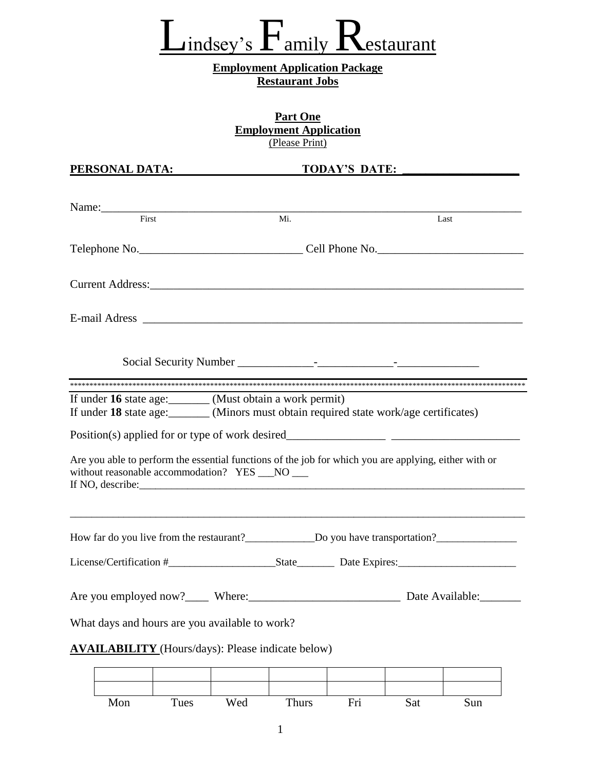### $L_{\text{index}$ 's  $\Gamma_{\text{amily}}$  Restaurant

#### **Employment Application Package Restaurant Jobs**

| <b>Part One</b>               |  |  |  |  |  |
|-------------------------------|--|--|--|--|--|
| <b>Employment Application</b> |  |  |  |  |  |
| (Please Print)                |  |  |  |  |  |

| PERSONAL DATA: THE RESONAL PROPERTY                                                                                                                                        |     | TODAY'S DATE:                                                                                                  |
|----------------------------------------------------------------------------------------------------------------------------------------------------------------------------|-----|----------------------------------------------------------------------------------------------------------------|
|                                                                                                                                                                            |     |                                                                                                                |
| Name:<br>First                                                                                                                                                             | Mi. | Last                                                                                                           |
|                                                                                                                                                                            |     |                                                                                                                |
|                                                                                                                                                                            |     |                                                                                                                |
|                                                                                                                                                                            |     |                                                                                                                |
|                                                                                                                                                                            |     |                                                                                                                |
|                                                                                                                                                                            |     |                                                                                                                |
|                                                                                                                                                                            |     |                                                                                                                |
| If under 16 state age: (Must obtain a work permit)                                                                                                                         |     |                                                                                                                |
| If under 18 state age: _______ (Minors must obtain required state work/age certificates)                                                                                   |     |                                                                                                                |
|                                                                                                                                                                            |     |                                                                                                                |
| Are you able to perform the essential functions of the job for which you are applying, either with or<br>without reasonable accommodation? YES __NO __<br>If NO, describe: |     |                                                                                                                |
|                                                                                                                                                                            |     |                                                                                                                |
|                                                                                                                                                                            |     | How far do you live from the restaurant?_____________________Do you have transportation?______________________ |
|                                                                                                                                                                            |     |                                                                                                                |
| Are you employed now?_____ Where:_                                                                                                                                         |     | Date Available:                                                                                                |
| What days and hours are you available to work?                                                                                                                             |     |                                                                                                                |
| <b>AVAILABILITY</b> (Hours/days): Please indicate below)                                                                                                                   |     |                                                                                                                |
|                                                                                                                                                                            |     |                                                                                                                |
|                                                                                                                                                                            |     |                                                                                                                |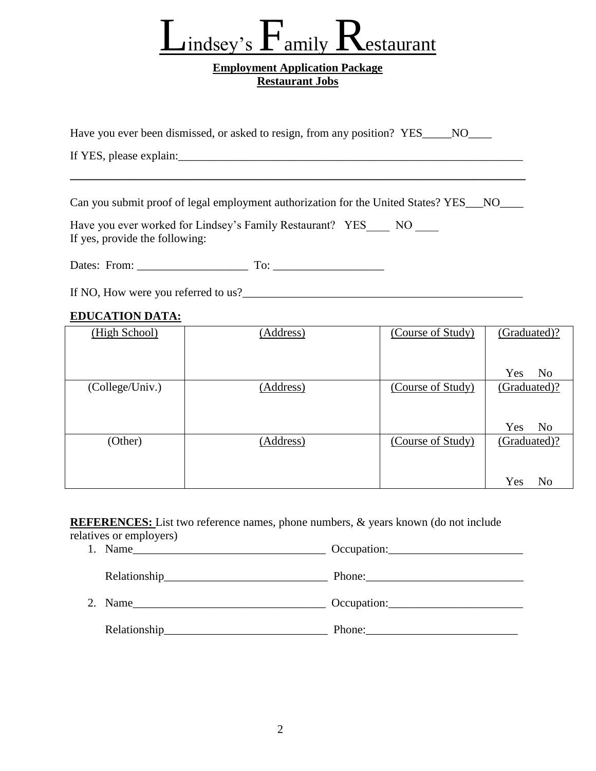### $\Box$ indsey's  $\Gamma$ amily  $\rm K$ estaurant

#### **Employment Application Package Restaurant Jobs**

| Have you ever been dismissed, or asked to resign, from any position? YES____NO____ |  |
|------------------------------------------------------------------------------------|--|
|                                                                                    |  |

If YES, please explain: The same state of  $\overline{S}$  and  $\overline{S}$  and  $\overline{S}$  and  $\overline{S}$  and  $\overline{S}$  and  $\overline{S}$  and  $\overline{S}$  and  $\overline{S}$  and  $\overline{S}$  and  $\overline{S}$  and  $\overline{S}$  and  $\overline{S}$  and  $\overline{S}$  and  $\overline{S}$  an

Can you submit proof of legal employment authorization for the United States? YES\_\_\_NO\_\_\_\_

\_\_\_\_\_\_\_\_\_\_\_\_\_\_\_\_\_\_\_\_\_\_\_\_\_\_\_\_\_\_\_\_\_\_\_\_\_\_\_\_\_\_\_\_\_\_\_\_\_\_\_\_

Have you ever worked for Lindsey's Family Restaurant? YES NO If yes, provide the following:

Dates: From: \_\_\_\_\_\_\_\_\_\_\_\_\_\_\_\_\_\_\_ To: \_\_\_\_\_\_\_\_\_\_\_\_\_\_\_\_\_\_\_

If NO, How were you referred to us?\_\_\_\_\_\_\_\_\_\_\_\_\_\_\_\_\_\_\_\_\_\_\_\_\_\_\_\_\_\_\_\_\_\_\_\_\_\_\_\_\_\_\_\_\_\_\_\_

#### **EDUCATION DATA:**

| (High School)   | (Address) | (Course of Study) | (Graduated)?          |
|-----------------|-----------|-------------------|-----------------------|
|                 |           |                   |                       |
|                 |           |                   | Yes<br>N <sub>0</sub> |
| (College/Univ.) | (Address) | (Course of Study) | (Graduated)?          |
|                 |           |                   |                       |
|                 |           |                   | Yes<br>N <sub>0</sub> |
| (Other)         | (Address) | (Course of Study) | (Graduated)?          |
|                 |           |                   |                       |
|                 |           |                   | Yes<br>No             |

**REFERENCES:** List two reference names, phone numbers, & years known (do not include

relatives or employers)

1. Name\_\_\_\_\_\_\_\_\_\_\_\_\_\_\_\_\_\_\_\_\_\_\_\_\_\_\_\_\_\_\_\_\_ Occupation:\_\_\_\_\_\_\_\_\_\_\_\_\_\_\_\_\_\_\_\_\_\_\_ Relationship\_\_\_\_\_\_\_\_\_\_\_\_\_\_\_\_\_\_\_\_\_\_\_\_\_\_\_\_ Phone:\_\_\_\_\_\_\_\_\_\_\_\_\_\_\_\_\_\_\_\_\_\_\_\_\_\_\_ 2. Name\_\_\_\_\_\_\_\_\_\_\_\_\_\_\_\_\_\_\_\_\_\_\_\_\_\_\_\_\_\_\_\_\_ Occupation:\_\_\_\_\_\_\_\_\_\_\_\_\_\_\_\_\_\_\_\_\_\_\_ Relationship\_\_\_\_\_\_\_\_\_\_\_\_\_\_\_\_\_\_\_\_\_\_\_\_\_\_\_\_ Phone:\_\_\_\_\_\_\_\_\_\_\_\_\_\_\_\_\_\_\_\_\_\_\_\_\_\_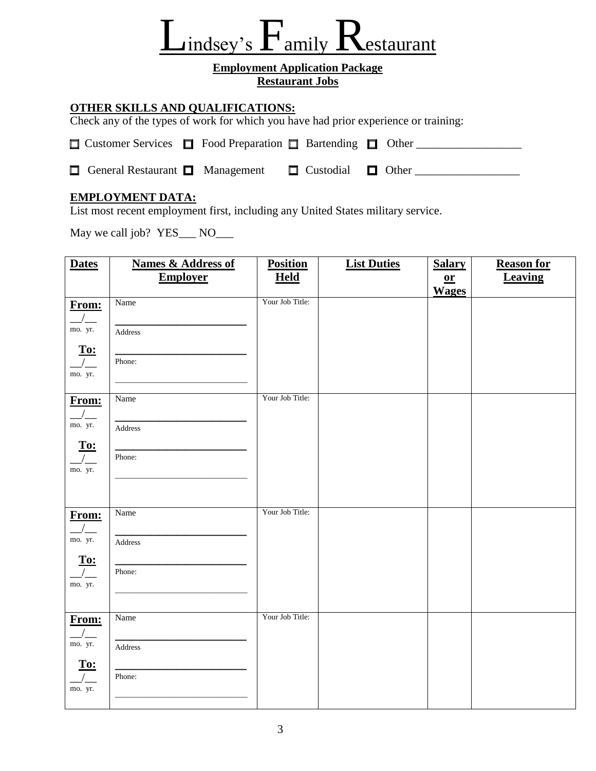## $\angle$ indsey's  $\Gamma$  amily  $\Gamma$ estaurant

#### **Employment Application Package Restaurant Jobs**

#### **OTHER SKILLS AND QUALIFICATIONS:**

Check any of the types of work for which you have had prior experience or training:

| $\Box$ Customer Services $\Box$ Food Preparation $\Box$ Bartending $\Box$ Other |  |                               |  |
|---------------------------------------------------------------------------------|--|-------------------------------|--|
| <b><math>\Box</math></b> General Restaurant $\Box$ Management                   |  | $\Box$ Custodial $\Box$ Other |  |

#### **EMPLOYMENT DATA:**

List most recent employment first, including any United States military service.

May we call job? YES\_\_\_ NO\_\_\_

| <b>Dates</b>                                   | <b>Names &amp; Address of</b> | <b>Position</b> | <b>List Duties</b> | <b>Salary</b>             | <b>Reason for</b> |
|------------------------------------------------|-------------------------------|-----------------|--------------------|---------------------------|-------------------|
|                                                | <b>Employer</b>               | <b>Held</b>     |                    | $\underline{\mathbf{or}}$ | <b>Leaving</b>    |
|                                                |                               |                 |                    | <b>Wages</b>              |                   |
| From:                                          | Name                          | Your Job Title: |                    |                           |                   |
| $\sqrt{2}$                                     |                               |                 |                    |                           |                   |
| mo. yr.                                        | Address                       |                 |                    |                           |                   |
| To:                                            |                               |                 |                    |                           |                   |
| $\frac{1}{2}$                                  | Phone:                        |                 |                    |                           |                   |
| mo. yr.                                        |                               |                 |                    |                           |                   |
|                                                |                               | Your Job Title: |                    |                           |                   |
| From:                                          | Name                          |                 |                    |                           |                   |
| $\frac{1}{2}$<br>mo. yr.                       |                               |                 |                    |                           |                   |
|                                                | Address                       |                 |                    |                           |                   |
| To:                                            |                               |                 |                    |                           |                   |
| $\frac{1}{2}$<br>mo. yr.                       | Phone:                        |                 |                    |                           |                   |
|                                                |                               |                 |                    |                           |                   |
|                                                |                               |                 |                    |                           |                   |
| From:                                          | Name                          | Your Job Title: |                    |                           |                   |
| $\frac{1}{2}$                                  |                               |                 |                    |                           |                   |
| mo. yr.                                        | Address                       |                 |                    |                           |                   |
|                                                |                               |                 |                    |                           |                   |
| $\frac{T_{0:}}{\sqrt{1-\frac{T_{0:}}{T_{0:}}}$ | Phone:                        |                 |                    |                           |                   |
| mo. yr.                                        |                               |                 |                    |                           |                   |
|                                                |                               |                 |                    |                           |                   |
| From:                                          | Name                          | Your Job Title: |                    |                           |                   |
| $\frac{1}{2}$                                  |                               |                 |                    |                           |                   |
| mo. yr.                                        | Address                       |                 |                    |                           |                   |
|                                                |                               |                 |                    |                           |                   |
| $\frac{\text{To:}}{\sqrt{ }}$                  | Phone:                        |                 |                    |                           |                   |
| mo. yr.                                        |                               |                 |                    |                           |                   |
|                                                |                               |                 |                    |                           |                   |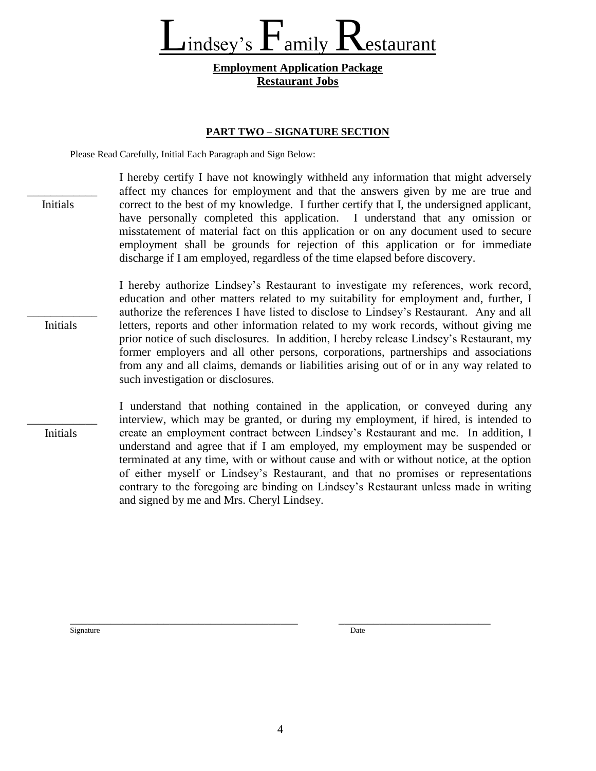Lindsey's  $F_{\text{amily}}$  Restaurant

#### **Employment Application Package Restaurant Jobs**

#### **PART TWO – SIGNATURE SECTION**

Please Read Carefully, Initial Each Paragraph and Sign Below:

\_\_\_\_\_\_\_\_\_\_\_\_ Initials \_\_\_\_\_\_\_\_\_\_\_\_ Initials \_\_\_\_\_\_\_\_\_\_\_\_ Initials I hereby certify I have not knowingly withheld any information that might adversely affect my chances for employment and that the answers given by me are true and correct to the best of my knowledge. I further certify that I, the undersigned applicant, have personally completed this application. I understand that any omission or misstatement of material fact on this application or on any document used to secure employment shall be grounds for rejection of this application or for immediate discharge if I am employed, regardless of the time elapsed before discovery. I hereby authorize Lindsey's Restaurant to investigate my references, work record, education and other matters related to my suitability for employment and, further, I authorize the references I have listed to disclose to Lindsey's Restaurant. Any and all letters, reports and other information related to my work records, without giving me prior notice of such disclosures. In addition, I hereby release Lindsey's Restaurant, my former employers and all other persons, corporations, partnerships and associations from any and all claims, demands or liabilities arising out of or in any way related to such investigation or disclosures. I understand that nothing contained in the application, or conveyed during any interview, which may be granted, or during my employment, if hired, is intended to create an employment contract between Lindsey's Restaurant and me. In addition, I understand and agree that if I am employed, my employment may be suspended or terminated at any time, with or without cause and with or without notice, at the option

and signed by me and Mrs. Cheryl Lindsey.

Signature Date Date of the Date of the Date of the Date of the Date of the Date of the Date of the Date of the Date of the Date of the Date of the Date of the Date of the Date of the Date of the Date of the Date of the Dat

\_\_\_\_\_\_\_\_\_\_\_\_\_\_\_\_\_\_\_\_\_\_\_\_\_\_\_\_\_\_\_\_\_\_\_\_\_\_\_ \_\_\_\_\_\_\_\_\_\_\_\_\_\_\_\_\_\_\_\_\_\_\_\_\_\_

of either myself or Lindsey's Restaurant, and that no promises or representations contrary to the foregoing are binding on Lindsey's Restaurant unless made in writing